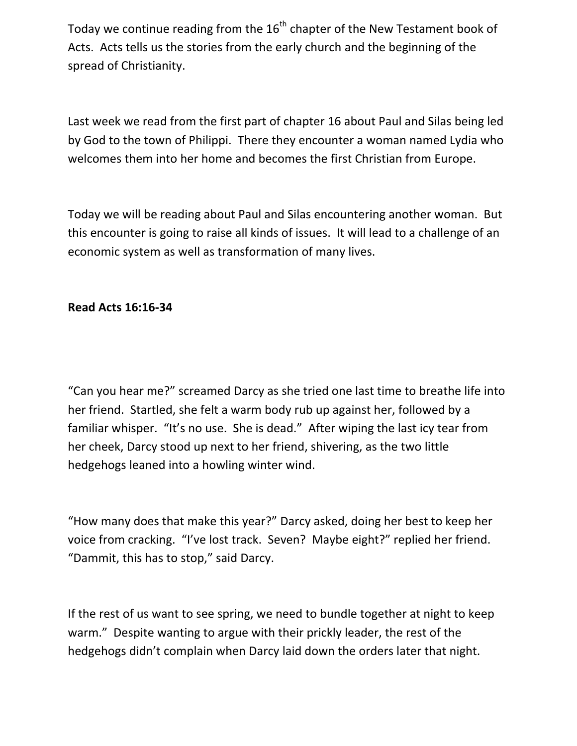Today we continue reading from the  $16<sup>th</sup>$  chapter of the New Testament book of Acts. Acts tells us the stories from the early church and the beginning of the spread of Christianity.

Last week we read from the first part of chapter 16 about Paul and Silas being led by God to the town of Philippi. There they encounter a woman named Lydia who welcomes them into her home and becomes the first Christian from Europe.

Today we will be reading about Paul and Silas encountering another woman. But this encounter is going to raise all kinds of issues. It will lead to a challenge of an economic system as well as transformation of many lives.

## **Read Acts 16:16-34**

"Can you hear me?" screamed Darcy as she tried one last time to breathe life into her friend. Startled, she felt a warm body rub up against her, followed by a familiar whisper. "It's no use. She is dead." After wiping the last icy tear from her cheek, Darcy stood up next to her friend, shivering, as the two little hedgehogs leaned into a howling winter wind.

"How many does that make this year?" Darcy asked, doing her best to keep her voice from cracking. "I've lost track. Seven? Maybe eight?" replied her friend. "Dammit, this has to stop," said Darcy.

If the rest of us want to see spring, we need to bundle together at night to keep warm." Despite wanting to argue with their prickly leader, the rest of the hedgehogs didn't complain when Darcy laid down the orders later that night.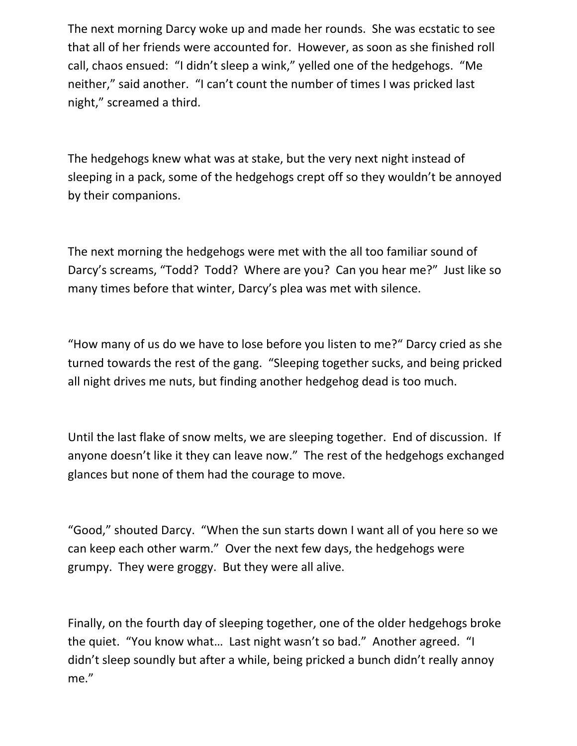The next morning Darcy woke up and made her rounds. She was ecstatic to see that all of her friends were accounted for. However, as soon as she finished roll call, chaos ensued: "I didn't sleep a wink," yelled one of the hedgehogs. "Me neither," said another. "I can't count the number of times I was pricked last night," screamed a third.

The hedgehogs knew what was at stake, but the very next night instead of sleeping in a pack, some of the hedgehogs crept off so they wouldn't be annoyed by their companions.

The next morning the hedgehogs were met with the all too familiar sound of Darcy's screams, "Todd? Todd? Where are you? Can you hear me?" Just like so many times before that winter, Darcy's plea was met with silence.

"How many of us do we have to lose before you listen to me?" Darcy cried as she turned towards the rest of the gang. "Sleeping together sucks, and being pricked all night drives me nuts, but finding another hedgehog dead is too much.

Until the last flake of snow melts, we are sleeping together. End of discussion. If anyone doesn't like it they can leave now." The rest of the hedgehogs exchanged glances but none of them had the courage to move.

"Good," shouted Darcy. "When the sun starts down I want all of you here so we can keep each other warm." Over the next few days, the hedgehogs were grumpy. They were groggy. But they were all alive.

Finally, on the fourth day of sleeping together, one of the older hedgehogs broke the quiet. "You know what… Last night wasn't so bad." Another agreed. "I didn't sleep soundly but after a while, being pricked a bunch didn't really annoy me."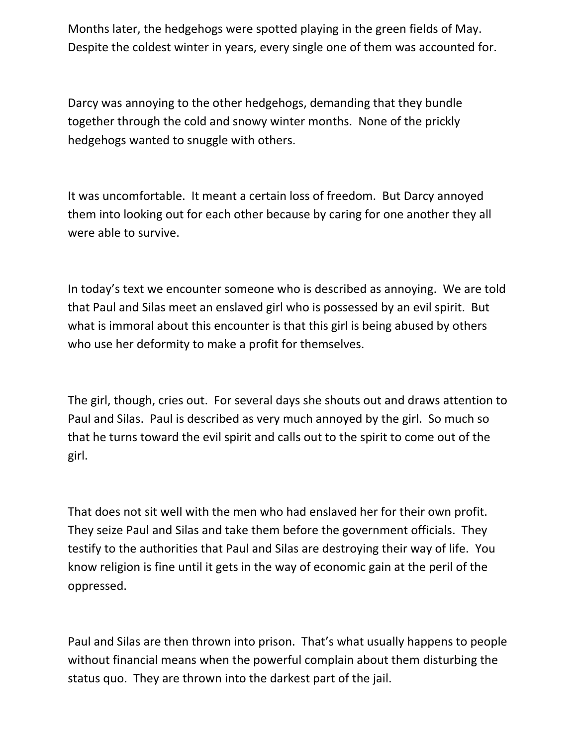Months later, the hedgehogs were spotted playing in the green fields of May. Despite the coldest winter in years, every single one of them was accounted for.

Darcy was annoying to the other hedgehogs, demanding that they bundle together through the cold and snowy winter months. None of the prickly hedgehogs wanted to snuggle with others.

It was uncomfortable. It meant a certain loss of freedom. But Darcy annoyed them into looking out for each other because by caring for one another they all were able to survive.

In today's text we encounter someone who is described as annoying. We are told that Paul and Silas meet an enslaved girl who is possessed by an evil spirit. But what is immoral about this encounter is that this girl is being abused by others who use her deformity to make a profit for themselves.

The girl, though, cries out. For several days she shouts out and draws attention to Paul and Silas. Paul is described as very much annoyed by the girl. So much so that he turns toward the evil spirit and calls out to the spirit to come out of the girl.

That does not sit well with the men who had enslaved her for their own profit. They seize Paul and Silas and take them before the government officials. They testify to the authorities that Paul and Silas are destroying their way of life. You know religion is fine until it gets in the way of economic gain at the peril of the oppressed.

Paul and Silas are then thrown into prison. That's what usually happens to people without financial means when the powerful complain about them disturbing the status quo. They are thrown into the darkest part of the jail.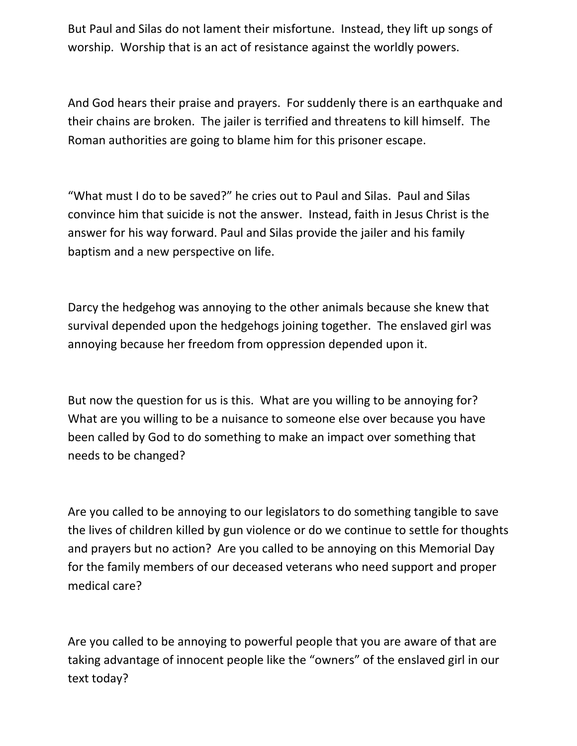But Paul and Silas do not lament their misfortune. Instead, they lift up songs of worship. Worship that is an act of resistance against the worldly powers.

And God hears their praise and prayers. For suddenly there is an earthquake and their chains are broken. The jailer is terrified and threatens to kill himself. The Roman authorities are going to blame him for this prisoner escape.

"What must I do to be saved?" he cries out to Paul and Silas. Paul and Silas convince him that suicide is not the answer. Instead, faith in Jesus Christ is the answer for his way forward. Paul and Silas provide the jailer and his family baptism and a new perspective on life.

Darcy the hedgehog was annoying to the other animals because she knew that survival depended upon the hedgehogs joining together. The enslaved girl was annoying because her freedom from oppression depended upon it.

But now the question for us is this. What are you willing to be annoying for? What are you willing to be a nuisance to someone else over because you have been called by God to do something to make an impact over something that needs to be changed?

Are you called to be annoying to our legislators to do something tangible to save the lives of children killed by gun violence or do we continue to settle for thoughts and prayers but no action? Are you called to be annoying on this Memorial Day for the family members of our deceased veterans who need support and proper medical care?

Are you called to be annoying to powerful people that you are aware of that are taking advantage of innocent people like the "owners" of the enslaved girl in our text today?